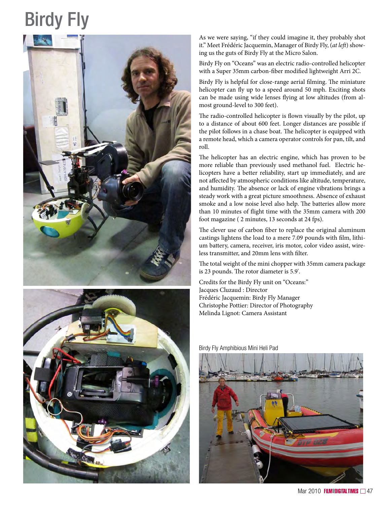## Birdy Fly





As we were saying, "if they could imagine it, they probably shot it." Meet Frédéric Jacquemin, Manager of Birdy Fly, (*at left*) showing us the guts of Birdy Fly at the Micro Salon.

Birdy Fly on "Oceans" was an electric radio-controlled helicopter with a Super 35mm carbon-fiber modified lightweight Arri 2C.

Birdy Fly is helpful for close-range aerial filming. The miniature helicopter can fly up to a speed around 50 mph. Exciting shots can be made using wide lenses flying at low altitudes (from almost ground-level to 300 feet).

The radio-controlled helicopter is flown visually by the pilot, up to a distance of about 600 feet. Longer distances are possible if the pilot follows in a chase boat. The helicopter is equipped with a remote head, which a camera operator controls for pan, tilt, and roll.

The helicopter has an electric engine, which has proven to be more reliable than previously used methanol fuel. Electric helicopters have a better reliability, start up immediately, and are not affected by atmospheric conditions like altitude, temperature, and humidity. The absence or lack of engine vibrations brings a steady work with a great picture smoothness. Absence of exhaust smoke and a low noise level also help. The batteries allow more than 10 minutes of flight time with the 35mm camera with 200 foot magazine ( 2 minutes, 13 seconds at 24 fps).

The clever use of carbon fiber to replace the original aluminum castings lightens the load to a mere 7.09 pounds with film, lithium battery, camera, receiver, iris motor, color video assist, wireless transmitter, and 20mm lens with filter.

The total weight of the mini chopper with 35mm camera package is 23 pounds. The rotor diameter is 5.9'.

Credits for the Birdy Fly unit on "Oceans:" Jacques Cluzaud : Director Frédéric Jacquemin: Birdy Fly Manager Christophe Pottier: Director of Photography Melinda Lignot: Camera Assistant

Birdy Fly Amphibious Mini Heli Pad



 $Mar 2010$  FILM and GITAL TIMES  $\Box$  47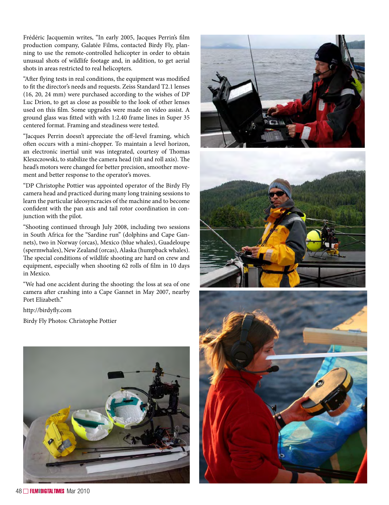Frédéric Jacquemin writes, "In early 2005, Jacques Perrin's film production company, Galatée Films, contacted Birdy Fly, planning to use the remote-controlled helicopter in order to obtain unusual shots of wildlife footage and, in addition, to get aerial shots in areas restricted to real helicopters.

"After flying tests in real conditions, the equipment was modified to fit the director's needs and requests. Zeiss Standard T2.1 lenses (16, 20, 24 mm) were purchased according to the wishes of DP Luc Drion, to get as close as possible to the look of other lenses used on this film. Some upgrades were made on video assist. A ground glass was fitted with with 1:2.40 frame lines in Super 35 centered format. Framing and steadiness were tested.

"Jacques Perrin doesn't appreciate the off-level framing, which often occurs with a mini-chopper. To maintain a level horizon, an electronic inertial unit was integrated, courtesy of Thomas Kleszczowski, to stabilize the camera head (tilt and roll axis). The head's motors were changed for better precision, smoother movement and better response to the operator's moves.

"DP Christophe Pottier was appointed operator of the Birdy Fly camera head and practiced during many long training sessions to learn the particular ideosyncracies of the machine and to become confident with the pan axis and tail rotor coordination in conjunction with the pilot.

"Shooting continued through July 2008, including two sessions in South Africa for the "Sardine run" (dolphins and Cape Gannets), two in Norway (orcas), Mexico (blue whales), Guadeloupe (spermwhales), New Zealand (orcas), Alaska (humpback whales). The special conditions of wildlife shooting are hard on crew and equipment, especially when shooting 62 rolls of film in 10 days in Mexico.

"We had one accident during the shooting: the loss at sea of one camera after crashing into a Cape Gannet in May 2007, nearby Port Elizabeth."

http://birdyfly.com

Birdy Fly Photos: Christophe Pottier





48 **FILM EDIGITAL TIMES** Mar 2010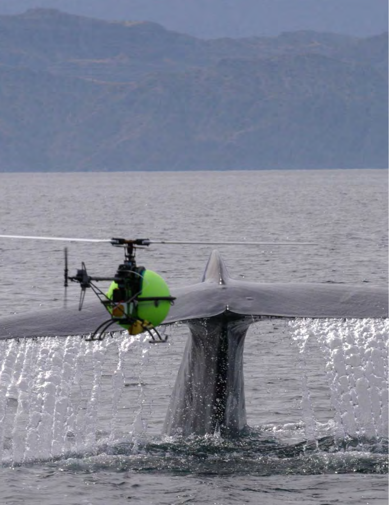